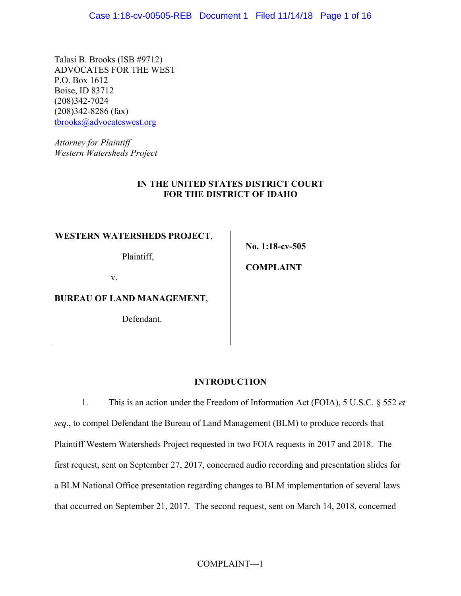Talasi B. Brooks (ISB #9712) ADVOCATES FOR THE WEST P.O. Box 1612 Boise, ID 83712 (208)342-7024 (208)342-8286 (fax) tbrooks@advocateswest.org

*Attorney for Plaintiff Western Watersheds Project*

## **IN THE UNITED STATES DISTRICT COURT FOR THE DISTRICT OF IDAHO**

## **WESTERN WATERSHEDS PROJECT**,

Plaintiff,

**No. 1:18-cv-505**

**COMPLAINT**

v.

**BUREAU OF LAND MANAGEMENT**,

Defendant.

# **INTRODUCTION**

1. This is an action under the Freedom of Information Act (FOIA), 5 U.S.C. § 552 *et seq*., to compel Defendant the Bureau of Land Management (BLM) to produce records that Plaintiff Western Watersheds Project requested in two FOIA requests in 2017 and 2018. The first request, sent on September 27, 2017, concerned audio recording and presentation slides for a BLM National Office presentation regarding changes to BLM implementation of several laws that occurred on September 21, 2017. The second request, sent on March 14, 2018, concerned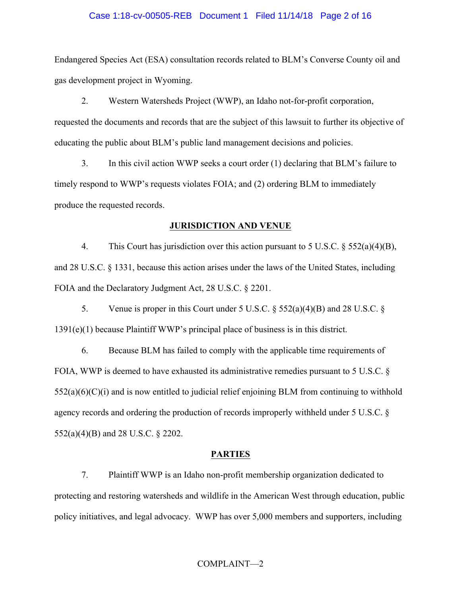#### Case 1:18-cv-00505-REB Document 1 Filed 11/14/18 Page 2 of 16

Endangered Species Act (ESA) consultation records related to BLM's Converse County oil and gas development project in Wyoming.

2. Western Watersheds Project (WWP), an Idaho not-for-profit corporation, requested the documents and records that are the subject of this lawsuit to further its objective of educating the public about BLM's public land management decisions and policies.

3. In this civil action WWP seeks a court order (1) declaring that BLM's failure to timely respond to WWP's requests violates FOIA; and (2) ordering BLM to immediately produce the requested records.

#### **JURISDICTION AND VENUE**

4. This Court has jurisdiction over this action pursuant to 5 U.S.C. § 552(a)(4)(B), and 28 U.S.C. § 1331, because this action arises under the laws of the United States, including FOIA and the Declaratory Judgment Act, 28 U.S.C. § 2201.

5. Venue is proper in this Court under 5 U.S.C. § 552(a)(4)(B) and 28 U.S.C. § 1391(e)(1) because Plaintiff WWP's principal place of business is in this district.

6. Because BLM has failed to comply with the applicable time requirements of FOIA, WWP is deemed to have exhausted its administrative remedies pursuant to 5 U.S.C. §  $552(a)(6)(C)(i)$  and is now entitled to judicial relief enjoining BLM from continuing to withhold agency records and ordering the production of records improperly withheld under 5 U.S.C. § 552(a)(4)(B) and 28 U.S.C. § 2202.

#### **PARTIES**

7. Plaintiff WWP is an Idaho non-profit membership organization dedicated to protecting and restoring watersheds and wildlife in the American West through education, public policy initiatives, and legal advocacy. WWP has over 5,000 members and supporters, including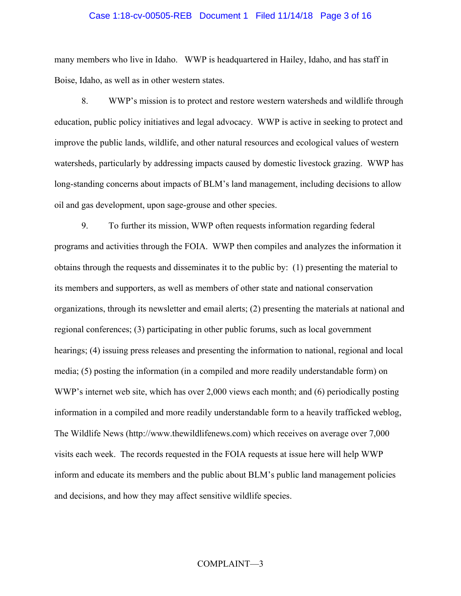## Case 1:18-cv-00505-REB Document 1 Filed 11/14/18 Page 3 of 16

many members who live in Idaho. WWP is headquartered in Hailey, Idaho, and has staff in Boise, Idaho, as well as in other western states.

8. WWP's mission is to protect and restore western watersheds and wildlife through education, public policy initiatives and legal advocacy. WWP is active in seeking to protect and improve the public lands, wildlife, and other natural resources and ecological values of western watersheds, particularly by addressing impacts caused by domestic livestock grazing. WWP has long-standing concerns about impacts of BLM's land management, including decisions to allow oil and gas development, upon sage-grouse and other species.

9. To further its mission, WWP often requests information regarding federal programs and activities through the FOIA. WWP then compiles and analyzes the information it obtains through the requests and disseminates it to the public by: (1) presenting the material to its members and supporters, as well as members of other state and national conservation organizations, through its newsletter and email alerts; (2) presenting the materials at national and regional conferences; (3) participating in other public forums, such as local government hearings; (4) issuing press releases and presenting the information to national, regional and local media; (5) posting the information (in a compiled and more readily understandable form) on WWP's internet web site, which has over 2,000 views each month; and (6) periodically posting information in a compiled and more readily understandable form to a heavily trafficked weblog, The Wildlife News (http://www.thewildlifenews.com) which receives on average over 7,000 visits each week. The records requested in the FOIA requests at issue here will help WWP inform and educate its members and the public about BLM's public land management policies and decisions, and how they may affect sensitive wildlife species.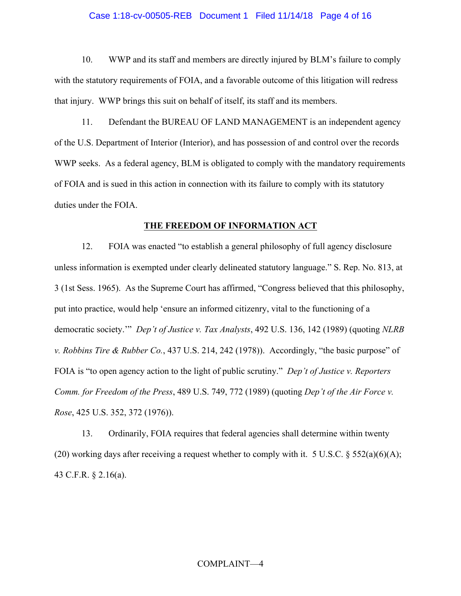## Case 1:18-cv-00505-REB Document 1 Filed 11/14/18 Page 4 of 16

10. WWP and its staff and members are directly injured by BLM's failure to comply with the statutory requirements of FOIA, and a favorable outcome of this litigation will redress that injury. WWP brings this suit on behalf of itself, its staff and its members.

11. Defendant the BUREAU OF LAND MANAGEMENT is an independent agency of the U.S. Department of Interior (Interior), and has possession of and control over the records WWP seeks. As a federal agency, BLM is obligated to comply with the mandatory requirements of FOIA and is sued in this action in connection with its failure to comply with its statutory duties under the FOIA.

#### **THE FREEDOM OF INFORMATION ACT**

12. FOIA was enacted "to establish a general philosophy of full agency disclosure unless information is exempted under clearly delineated statutory language." S. Rep. No. 813, at 3 (1st Sess. 1965). As the Supreme Court has affirmed, "Congress believed that this philosophy, put into practice, would help 'ensure an informed citizenry, vital to the functioning of a democratic society.'" *Dep't of Justice v. Tax Analysts*, 492 U.S. 136, 142 (1989) (quoting *NLRB v. Robbins Tire & Rubber Co.*, 437 U.S. 214, 242 (1978)). Accordingly, "the basic purpose" of FOIA is "to open agency action to the light of public scrutiny." *Dep't of Justice v. Reporters Comm. for Freedom of the Press*, 489 U.S. 749, 772 (1989) (quoting *Dep't of the Air Force v. Rose*, 425 U.S. 352, 372 (1976)).

13. Ordinarily, FOIA requires that federal agencies shall determine within twenty (20) working days after receiving a request whether to comply with it. 5 U.S.C.  $\S$  552(a)(6)(A); 43 C.F.R. § 2.16(a).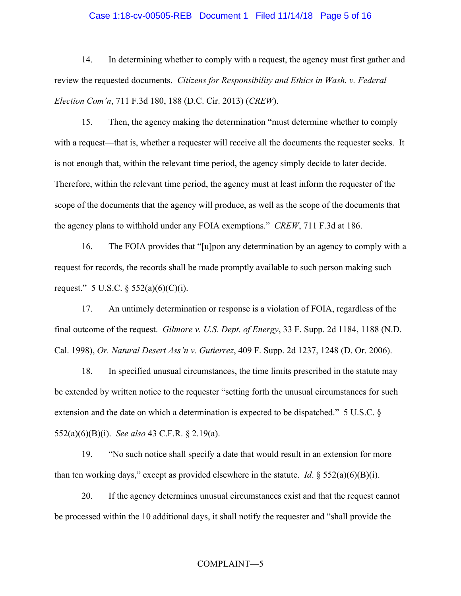## Case 1:18-cv-00505-REB Document 1 Filed 11/14/18 Page 5 of 16

14. In determining whether to comply with a request, the agency must first gather and review the requested documents. *Citizens for Responsibility and Ethics in Wash. v. Federal Election Com'n*, 711 F.3d 180, 188 (D.C. Cir. 2013) (*CREW*).

15. Then, the agency making the determination "must determine whether to comply with a request—that is, whether a requester will receive all the documents the requester seeks. It is not enough that, within the relevant time period, the agency simply decide to later decide. Therefore, within the relevant time period, the agency must at least inform the requester of the scope of the documents that the agency will produce, as well as the scope of the documents that the agency plans to withhold under any FOIA exemptions." *CREW*, 711 F.3d at 186.

16. The FOIA provides that "[u]pon any determination by an agency to comply with a request for records, the records shall be made promptly available to such person making such request." 5 U.S.C.  $\S$  552(a)(6)(C)(i).

17. An untimely determination or response is a violation of FOIA, regardless of the final outcome of the request. *Gilmore v. U.S. Dept. of Energy*, 33 F. Supp. 2d 1184, 1188 (N.D. Cal. 1998), *Or. Natural Desert Ass'n v. Gutierrez*, 409 F. Supp. 2d 1237, 1248 (D. Or. 2006).

18. In specified unusual circumstances, the time limits prescribed in the statute may be extended by written notice to the requester "setting forth the unusual circumstances for such extension and the date on which a determination is expected to be dispatched." 5 U.S.C. § 552(a)(6)(B)(i). *See also* 43 C.F.R. § 2.19(a).

19. "No such notice shall specify a date that would result in an extension for more than ten working days," except as provided elsewhere in the statute. *Id*.  $\S$  552(a)(6)(B)(i).

20. If the agency determines unusual circumstances exist and that the request cannot be processed within the 10 additional days, it shall notify the requester and "shall provide the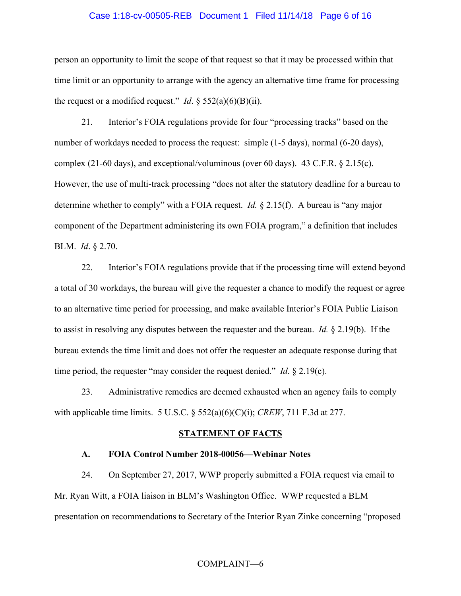#### Case 1:18-cv-00505-REB Document 1 Filed 11/14/18 Page 6 of 16

person an opportunity to limit the scope of that request so that it may be processed within that time limit or an opportunity to arrange with the agency an alternative time frame for processing the request or a modified request." *Id.*  $\S$  552(a)(6)(B)(ii).

21. Interior's FOIA regulations provide for four "processing tracks" based on the number of workdays needed to process the request: simple (1-5 days), normal (6-20 days), complex (21-60 days), and exceptional/voluminous (over 60 days). 43 C.F.R. § 2.15(c). However, the use of multi-track processing "does not alter the statutory deadline for a bureau to determine whether to comply" with a FOIA request. *Id.* § 2.15(f). A bureau is "any major component of the Department administering its own FOIA program," a definition that includes BLM. *Id*. § 2.70.

22. Interior's FOIA regulations provide that if the processing time will extend beyond a total of 30 workdays, the bureau will give the requester a chance to modify the request or agree to an alternative time period for processing, and make available Interior's FOIA Public Liaison to assist in resolving any disputes between the requester and the bureau. *Id.* § 2.19(b). If the bureau extends the time limit and does not offer the requester an adequate response during that time period, the requester "may consider the request denied." *Id*. § 2.19(c).

23. Administrative remedies are deemed exhausted when an agency fails to comply with applicable time limits. 5 U.S.C. § 552(a)(6)(C)(i); *CREW*, 711 F.3d at 277.

#### **STATEMENT OF FACTS**

#### **A. FOIA Control Number 2018-00056—Webinar Notes**

24. On September 27, 2017, WWP properly submitted a FOIA request via email to Mr. Ryan Witt, a FOIA liaison in BLM's Washington Office. WWP requested a BLM presentation on recommendations to Secretary of the Interior Ryan Zinke concerning "proposed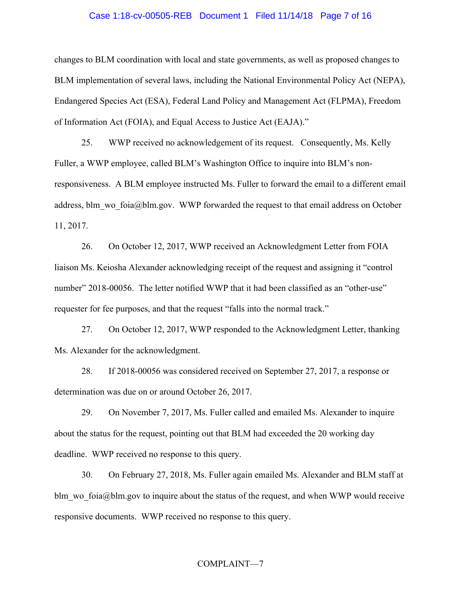#### Case 1:18-cv-00505-REB Document 1 Filed 11/14/18 Page 7 of 16

changes to BLM coordination with local and state governments, as well as proposed changes to BLM implementation of several laws, including the National Environmental Policy Act (NEPA), Endangered Species Act (ESA), Federal Land Policy and Management Act (FLPMA), Freedom of Information Act (FOIA), and Equal Access to Justice Act (EAJA)."

25. WWP received no acknowledgement of its request. Consequently, Ms. Kelly Fuller, a WWP employee, called BLM's Washington Office to inquire into BLM's nonresponsiveness. A BLM employee instructed Ms. Fuller to forward the email to a different email address, blm\_wo\_foia@blm.gov. WWP forwarded the request to that email address on October 11, 2017.

26. On October 12, 2017, WWP received an Acknowledgment Letter from FOIA liaison Ms. Keiosha Alexander acknowledging receipt of the request and assigning it "control number" 2018-00056. The letter notified WWP that it had been classified as an "other-use" requester for fee purposes, and that the request "falls into the normal track."

27. On October 12, 2017, WWP responded to the Acknowledgment Letter, thanking Ms. Alexander for the acknowledgment.

28. If 2018-00056 was considered received on September 27, 2017, a response or determination was due on or around October 26, 2017.

29. On November 7, 2017, Ms. Fuller called and emailed Ms. Alexander to inquire about the status for the request, pointing out that BLM had exceeded the 20 working day deadline. WWP received no response to this query.

30. On February 27, 2018, Ms. Fuller again emailed Ms. Alexander and BLM staff at blm wo  $foia@blm.gov$  to inquire about the status of the request, and when WWP would receive responsive documents. WWP received no response to this query.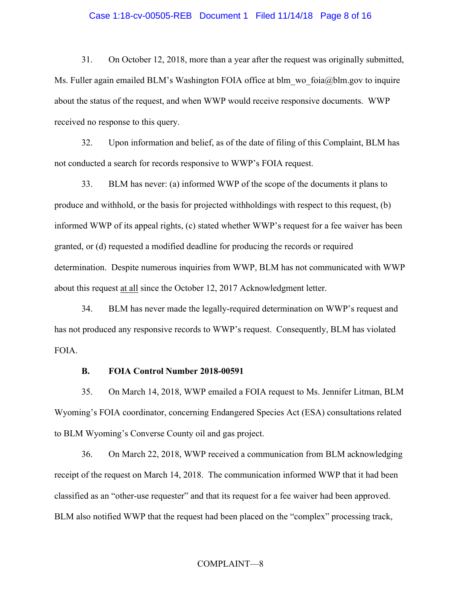#### Case 1:18-cv-00505-REB Document 1 Filed 11/14/18 Page 8 of 16

31. On October 12, 2018, more than a year after the request was originally submitted, Ms. Fuller again emailed BLM's Washington FOIA office at blm wo foia@blm.gov to inquire about the status of the request, and when WWP would receive responsive documents. WWP received no response to this query.

32. Upon information and belief, as of the date of filing of this Complaint, BLM has not conducted a search for records responsive to WWP's FOIA request.

33. BLM has never: (a) informed WWP of the scope of the documents it plans to produce and withhold, or the basis for projected withholdings with respect to this request, (b) informed WWP of its appeal rights, (c) stated whether WWP's request for a fee waiver has been granted, or (d) requested a modified deadline for producing the records or required determination. Despite numerous inquiries from WWP, BLM has not communicated with WWP about this request at all since the October 12, 2017 Acknowledgment letter.

34. BLM has never made the legally-required determination on WWP's request and has not produced any responsive records to WWP's request. Consequently, BLM has violated FOIA.

#### **B. FOIA Control Number 2018-00591**

35. On March 14, 2018, WWP emailed a FOIA request to Ms. Jennifer Litman, BLM Wyoming's FOIA coordinator, concerning Endangered Species Act (ESA) consultations related to BLM Wyoming's Converse County oil and gas project.

36. On March 22, 2018, WWP received a communication from BLM acknowledging receipt of the request on March 14, 2018. The communication informed WWP that it had been classified as an "other-use requester" and that its request for a fee waiver had been approved. BLM also notified WWP that the request had been placed on the "complex" processing track,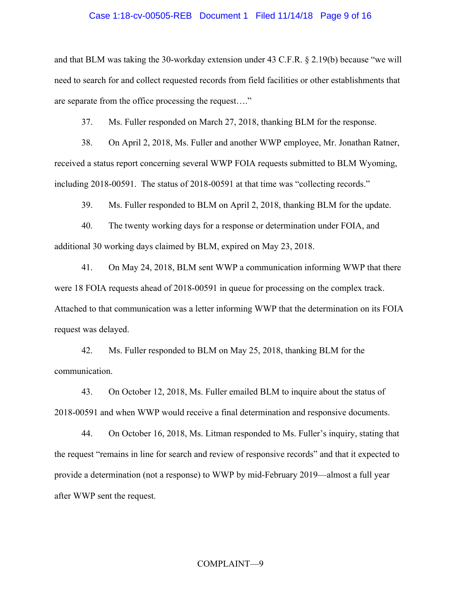#### Case 1:18-cv-00505-REB Document 1 Filed 11/14/18 Page 9 of 16

and that BLM was taking the 30-workday extension under 43 C.F.R. § 2.19(b) because "we will need to search for and collect requested records from field facilities or other establishments that are separate from the office processing the request…."

37. Ms. Fuller responded on March 27, 2018, thanking BLM for the response.

38. On April 2, 2018, Ms. Fuller and another WWP employee, Mr. Jonathan Ratner, received a status report concerning several WWP FOIA requests submitted to BLM Wyoming, including 2018-00591. The status of 2018-00591 at that time was "collecting records."

39. Ms. Fuller responded to BLM on April 2, 2018, thanking BLM for the update.

40. The twenty working days for a response or determination under FOIA, and additional 30 working days claimed by BLM, expired on May 23, 2018.

41. On May 24, 2018, BLM sent WWP a communication informing WWP that there were 18 FOIA requests ahead of 2018-00591 in queue for processing on the complex track. Attached to that communication was a letter informing WWP that the determination on its FOIA request was delayed.

42. Ms. Fuller responded to BLM on May 25, 2018, thanking BLM for the communication.

43. On October 12, 2018, Ms. Fuller emailed BLM to inquire about the status of 2018-00591 and when WWP would receive a final determination and responsive documents.

44. On October 16, 2018, Ms. Litman responded to Ms. Fuller's inquiry, stating that the request "remains in line for search and review of responsive records" and that it expected to provide a determination (not a response) to WWP by mid-February 2019—almost a full year after WWP sent the request.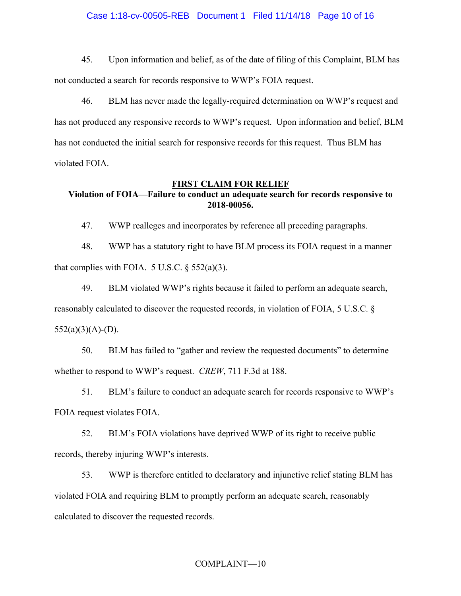#### Case 1:18-cv-00505-REB Document 1 Filed 11/14/18 Page 10 of 16

45. Upon information and belief, as of the date of filing of this Complaint, BLM has not conducted a search for records responsive to WWP's FOIA request.

46. BLM has never made the legally-required determination on WWP's request and has not produced any responsive records to WWP's request. Upon information and belief, BLM has not conducted the initial search for responsive records for this request. Thus BLM has violated FOIA.

#### **FIRST CLAIM FOR RELIEF**

## **Violation of FOIA—Failure to conduct an adequate search for records responsive to 2018-00056.**

47. WWP realleges and incorporates by reference all preceding paragraphs.

48. WWP has a statutory right to have BLM process its FOIA request in a manner that complies with FOIA.  $5 \text{ U.S.C.} \$  $552(a)(3)$ .

49. BLM violated WWP's rights because it failed to perform an adequate search,

reasonably calculated to discover the requested records, in violation of FOIA, 5 U.S.C. §

 $552(a)(3)(A)- (D)$ .

50. BLM has failed to "gather and review the requested documents" to determine whether to respond to WWP's request. *CREW*, 711 F.3d at 188.

51. BLM's failure to conduct an adequate search for records responsive to WWP's FOIA request violates FOIA.

52. BLM's FOIA violations have deprived WWP of its right to receive public records, thereby injuring WWP's interests.

53. WWP is therefore entitled to declaratory and injunctive relief stating BLM has violated FOIA and requiring BLM to promptly perform an adequate search, reasonably calculated to discover the requested records.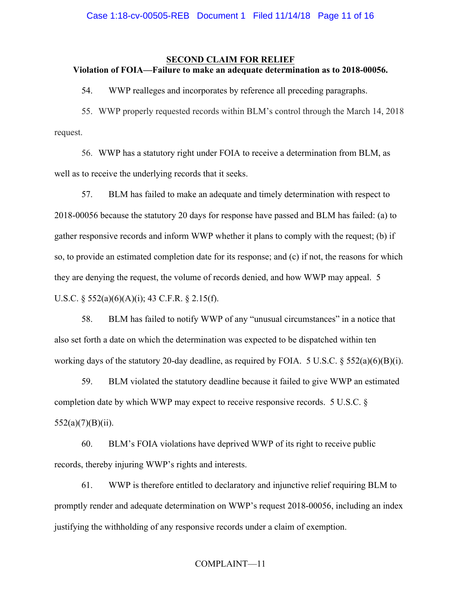#### **SECOND CLAIM FOR RELIEF Violation of FOIA—Failure to make an adequate determination as to 2018-00056.**

54. WWP realleges and incorporates by reference all preceding paragraphs.

55. WWP properly requested records within BLM's control through the March 14, 2018 request.

56. WWP has a statutory right under FOIA to receive a determination from BLM, as well as to receive the underlying records that it seeks.

57. BLM has failed to make an adequate and timely determination with respect to 2018-00056 because the statutory 20 days for response have passed and BLM has failed: (a) to gather responsive records and inform WWP whether it plans to comply with the request; (b) if so, to provide an estimated completion date for its response; and (c) if not, the reasons for which they are denying the request, the volume of records denied, and how WWP may appeal. 5 U.S.C. § 552(a)(6)(A)(i); 43 C.F.R. § 2.15(f).

58. BLM has failed to notify WWP of any "unusual circumstances" in a notice that also set forth a date on which the determination was expected to be dispatched within ten working days of the statutory 20-day deadline, as required by FOIA. 5 U.S.C. § 552(a)(6)(B)(i).

59. BLM violated the statutory deadline because it failed to give WWP an estimated completion date by which WWP may expect to receive responsive records. 5 U.S.C. §  $552(a)(7)(B)(ii)$ .

60. BLM's FOIA violations have deprived WWP of its right to receive public records, thereby injuring WWP's rights and interests.

61. WWP is therefore entitled to declaratory and injunctive relief requiring BLM to promptly render and adequate determination on WWP's request 2018-00056, including an index justifying the withholding of any responsive records under a claim of exemption.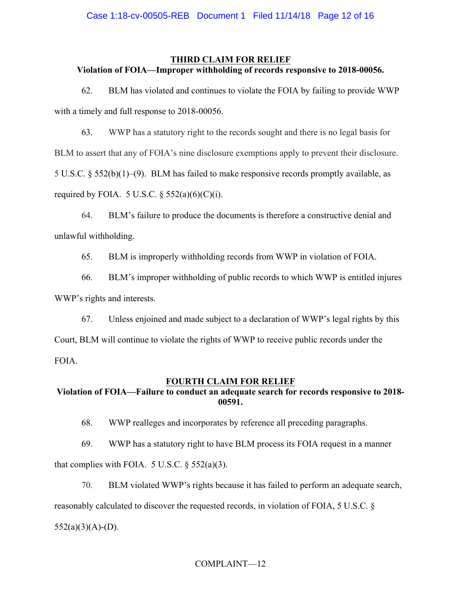## **THIRD CLAIM FOR RELIEF Violation of FOIA—Improper withholding of records responsive to 2018-00056.**

62. BLM has violated and continues to violate the FOIA by failing to provide WWP with a timely and full response to 2018-00056.

63. WWP has a statutory right to the records sought and there is no legal basis for BLM to assert that any of FOIA's nine disclosure exemptions apply to prevent their disclosure. 5 U.S.C. § 552(b)(1)–(9). BLM has failed to make responsive records promptly available, as required by FOIA. 5 U.S.C.  $\S$  552(a)(6)(C)(i).

64. BLM's failure to produce the documents is therefore a constructive denial and unlawful withholding.

65. BLM is improperly withholding records from WWP in violation of FOIA.

66. BLM's improper withholding of public records to which WWP is entitled injures WWP's rights and interests.

67. Unless enjoined and made subject to a declaration of WWP's legal rights by this Court, BLM will continue to violate the rights of WWP to receive public records under the FOIA.

## **FOURTH CLAIM FOR RELIEF**

## **Violation of FOIA—Failure to conduct an adequate search for records responsive to 2018- 00591.**

68. WWP realleges and incorporates by reference all preceding paragraphs.

69. WWP has a statutory right to have BLM process its FOIA request in a manner that complies with FOIA.  $5$  U.S.C.  $\S$  552(a)(3).

70. BLM violated WWP's rights because it has failed to perform an adequate search,

reasonably calculated to discover the requested records, in violation of FOIA, 5 U.S.C. §

 $552(a)(3)(A)- (D)$ .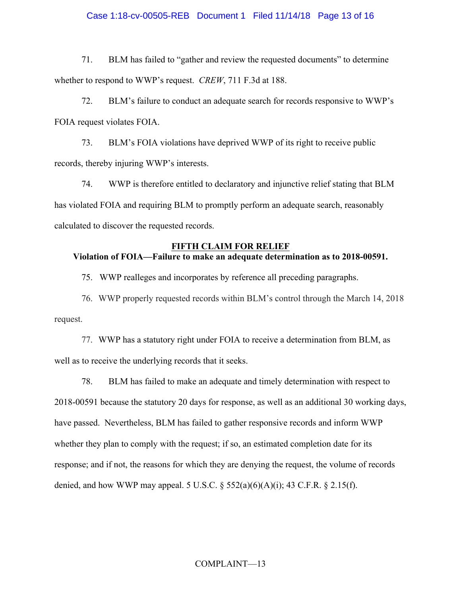#### Case 1:18-cv-00505-REB Document 1 Filed 11/14/18 Page 13 of 16

71. BLM has failed to "gather and review the requested documents" to determine whether to respond to WWP's request. *CREW*, 711 F.3d at 188.

72. BLM's failure to conduct an adequate search for records responsive to WWP's FOIA request violates FOIA.

73. BLM's FOIA violations have deprived WWP of its right to receive public records, thereby injuring WWP's interests.

74. WWP is therefore entitled to declaratory and injunctive relief stating that BLM has violated FOIA and requiring BLM to promptly perform an adequate search, reasonably calculated to discover the requested records.

## **FIFTH CLAIM FOR RELIEF Violation of FOIA—Failure to make an adequate determination as to 2018-00591.**

75. WWP realleges and incorporates by reference all preceding paragraphs.

76. WWP properly requested records within BLM's control through the March 14, 2018 request.

77. WWP has a statutory right under FOIA to receive a determination from BLM, as well as to receive the underlying records that it seeks.

78. BLM has failed to make an adequate and timely determination with respect to 2018-00591 because the statutory 20 days for response, as well as an additional 30 working days, have passed. Nevertheless, BLM has failed to gather responsive records and inform WWP whether they plan to comply with the request; if so, an estimated completion date for its response; and if not, the reasons for which they are denying the request, the volume of records denied, and how WWP may appeal. 5 U.S.C.  $\S$  552(a)(6)(A)(i); 43 C.F.R.  $\S$  2.15(f).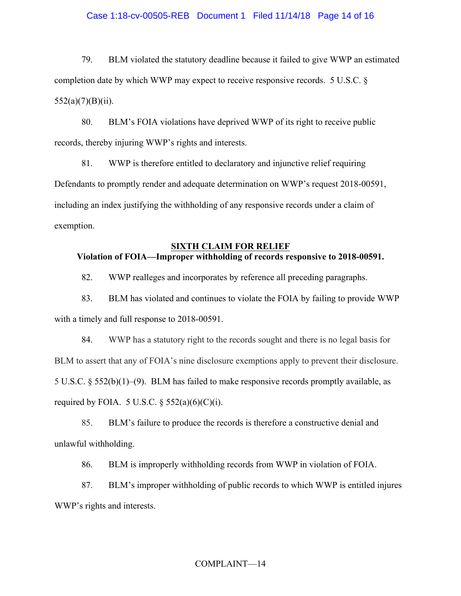## Case 1:18-cv-00505-REB Document 1 Filed 11/14/18 Page 14 of 16

79. BLM violated the statutory deadline because it failed to give WWP an estimated completion date by which WWP may expect to receive responsive records. 5 U.S.C. §  $552(a)(7)(B)(ii)$ .

80. BLM's FOIA violations have deprived WWP of its right to receive public records, thereby injuring WWP's rights and interests.

81. WWP is therefore entitled to declaratory and injunctive relief requiring Defendants to promptly render and adequate determination on WWP's request 2018-00591, including an index justifying the withholding of any responsive records under a claim of exemption.

## **SIXTH CLAIM FOR RELIEF Violation of FOIA—Improper withholding of records responsive to 2018-00591.**

82. WWP realleges and incorporates by reference all preceding paragraphs.

83. BLM has violated and continues to violate the FOIA by failing to provide WWP with a timely and full response to 2018-00591.

84. WWP has a statutory right to the records sought and there is no legal basis for BLM to assert that any of FOIA's nine disclosure exemptions apply to prevent their disclosure. 5 U.S.C. § 552(b)(1)–(9). BLM has failed to make responsive records promptly available, as required by FOIA. 5 U.S.C.  $\S$  552(a)(6)(C)(i).

85. BLM's failure to produce the records is therefore a constructive denial and unlawful withholding.

86. BLM is improperly withholding records from WWP in violation of FOIA.

87. BLM's improper withholding of public records to which WWP is entitled injures WWP's rights and interests.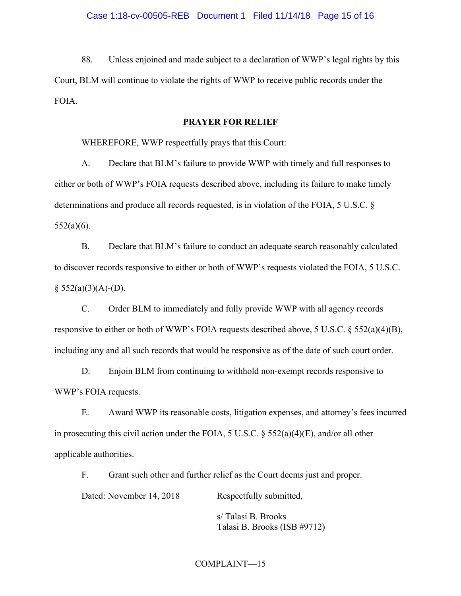88. Unless enjoined and made subject to a declaration of WWP's legal rights by this Court, BLM will continue to violate the rights of WWP to receive public records under the FOIA.

#### **PRAYER FOR RELIEF**

WHEREFORE, WWP respectfully prays that this Court:

A. Declare that BLM's failure to provide WWP with timely and full responses to either or both of WWP's FOIA requests described above, including its failure to make timely determinations and produce all records requested, is in violation of the FOIA, 5 U.S.C. §  $552(a)(6)$ .

B. Declare that BLM's failure to conduct an adequate search reasonably calculated to discover records responsive to either or both of WWP's requests violated the FOIA, 5 U.S.C.  $§ 552(a)(3)(A)- (D).$ 

C. Order BLM to immediately and fully provide WWP with all agency records responsive to either or both of WWP's FOIA requests described above, 5 U.S.C. § 552(a)(4)(B), including any and all such records that would be responsive as of the date of such court order.

D. Enjoin BLM from continuing to withhold non-exempt records responsive to WWP's FOIA requests.

E. Award WWP its reasonable costs, litigation expenses, and attorney's fees incurred in prosecuting this civil action under the FOIA, 5 U.S.C. § 552(a)(4)(E), and/or all other applicable authorities.

F. Grant such other and further relief as the Court deems just and proper.

Dated: November 14, 2018 Respectfully submitted,

s/ Talasi B. Brooks Talasi B. Brooks (ISB #9712)